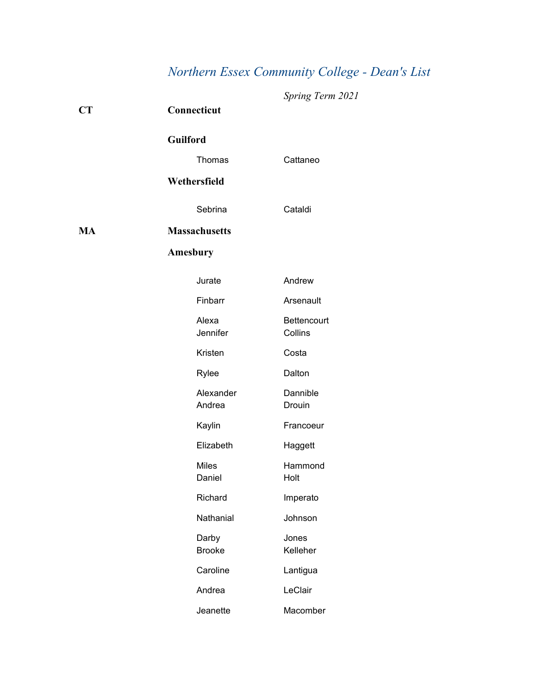# *Northern Essex Community College - Dean's List*

| CT        | Connecticut            | Spring Term 2021       |
|-----------|------------------------|------------------------|
|           | <b>Guilford</b>        |                        |
|           | Thomas                 | Cattaneo               |
|           | Wethersfield           |                        |
|           | Sebrina                | Cataldi                |
| <b>MA</b> | <b>Massachusetts</b>   |                        |
|           | Amesbury               |                        |
|           | Jurate                 | Andrew                 |
|           | Finbarr                | Arsenault              |
|           | Alexa<br>Jennifer      | Bettencourt<br>Collins |
|           | Kristen                | Costa                  |
|           | Rylee                  | Dalton                 |
|           | Alexander<br>Andrea    | Dannible<br>Drouin     |
|           | Kaylin                 | Francoeur              |
|           | Elizabeth              | Haggett                |
|           | <b>Miles</b><br>Daniel | Hammond<br>Holt        |
|           | Richard                | Imperato               |
|           | Nathanial              | Johnson                |
|           | Darby<br><b>Brooke</b> | Jones<br>Kelleher      |
|           | Caroline               | Lantigua               |
|           | Andrea                 | LeClair                |
|           | Jeanette               | Macomber               |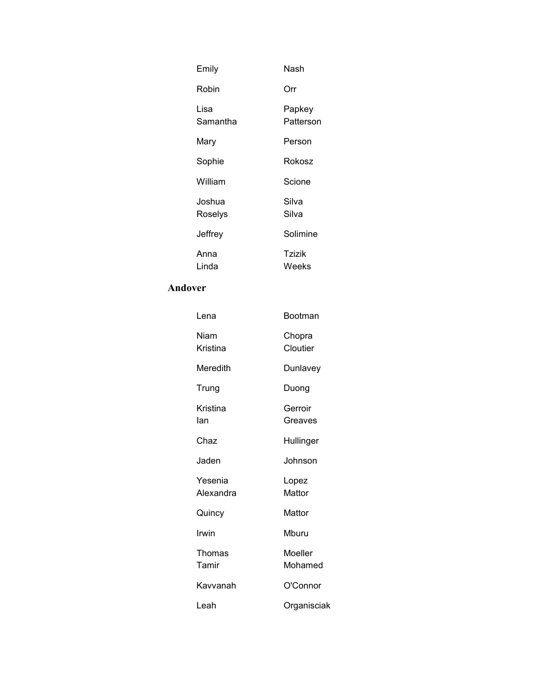| Emily             | Nash                |
|-------------------|---------------------|
| Robin             | Orr                 |
| Lisa<br>Samantha  | Papkey<br>Patterson |
| Mary              | Person              |
| Sophie            | <b>Rokosz</b>       |
| William           | Scione              |
| Joshua<br>Roselys | Silva<br>Silva      |
| Jeffrey           | Solimine            |
| Anna<br>Linda     | Tzizik<br>Weeks     |

## **Andover**

| Lena                 | Bootman            |
|----------------------|--------------------|
| Niam<br>Kristina     | Chopra<br>Cloutier |
| Meredith             | Dunlavey           |
| Trung                | Duong              |
| Kristina<br>lan      | Gerroir<br>Greaves |
| Chaz                 | Hullinger          |
| Jaden                | Johnson            |
| Yesenia<br>Alexandra | Lopez<br>Mattor    |
| Quincy               | Mattor             |
| Irwin                | Mburu              |
| Thomas<br>Tamir      | Moeller<br>Mohamed |
| Kavvanah             | O'Connor           |
| Leah                 | Organisciak        |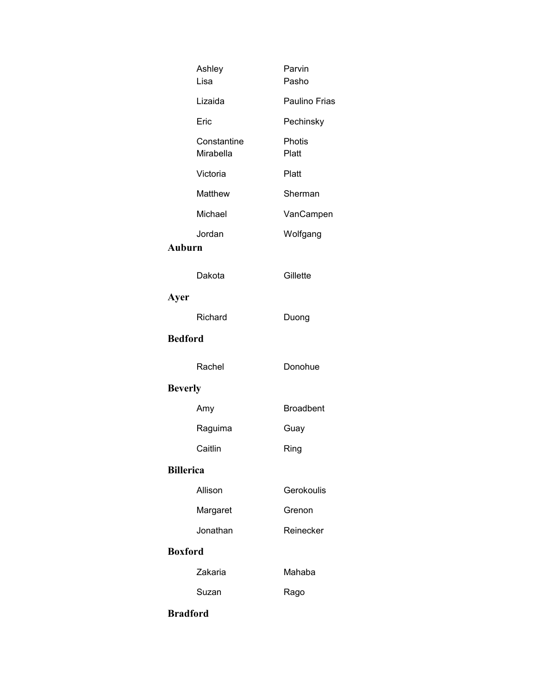| Ashley<br>Lisa           | Parvin<br>Pasho  |
|--------------------------|------------------|
| Lizaida                  | Paulino Frias    |
| Eric                     | Pechinsky        |
| Constantine<br>Mirabella | Photis<br>Platt  |
| Victoria                 | Platt            |
| Matthew                  | Sherman          |
| Michael                  | VanCampen        |
| Jordan<br><b>Auburn</b>  | Wolfgang         |
| Dakota                   | Gillette         |
| Ayer                     |                  |
| Richard                  | Duong            |
| <b>Bedford</b>           |                  |
| Rachel                   | Donohue          |
| <b>Beverly</b>           |                  |
| Amy                      | <b>Broadbent</b> |
| Raguima                  | Guay             |
| Caitlin                  | Ring             |
| <b>Billerica</b>         |                  |
| Allison                  | Gerokoulis       |
| Margaret                 | Grenon           |
| Jonathan                 | Reinecker        |
| <b>Boxford</b>           |                  |
| Zakaria                  | Mahaba           |
| Suzan                    | Rago             |
| <b>Bradford</b>          |                  |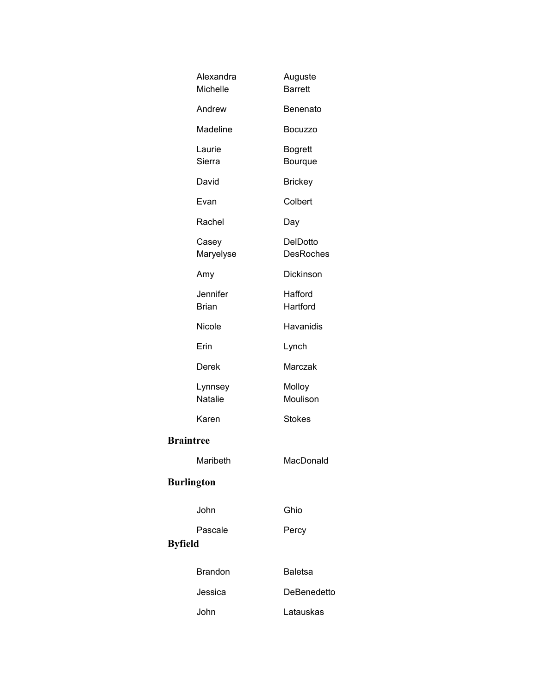| Alexandra<br>Michelle     | Auguste<br><b>Barrett</b>    |
|---------------------------|------------------------------|
| Andrew                    | Benenato                     |
| Madeline                  | <b>Bocuzzo</b>               |
| Laurie<br>Sierra          | <b>Bogrett</b><br>Bourque    |
| David                     | <b>Brickey</b>               |
| Evan                      | Colbert                      |
| Rachel                    | Day                          |
| Casey<br>Maryelyse        | DelDotto<br><b>DesRoches</b> |
| Amy                       | Dickinson                    |
| Jennifer<br><b>Brian</b>  | Hafford<br>Hartford          |
| Nicole                    | Havanidis                    |
| Erin                      | Lynch                        |
| Derek                     | Marczak                      |
| Lynnsey<br><b>Natalie</b> | Molloy<br>Moulison           |
| Karen                     | <b>Stokes</b>                |
| <b>Braintree</b>          |                              |
| Maribeth                  | MacDonald                    |
| <b>Burlington</b>         |                              |
| John                      | Ghio                         |
| Pascale<br><b>Byfield</b> | Percy                        |
| <b>Brandon</b>            | <b>Baletsa</b>               |
| Jessica                   | DeBenedetto                  |
| John                      | Latauskas                    |
|                           |                              |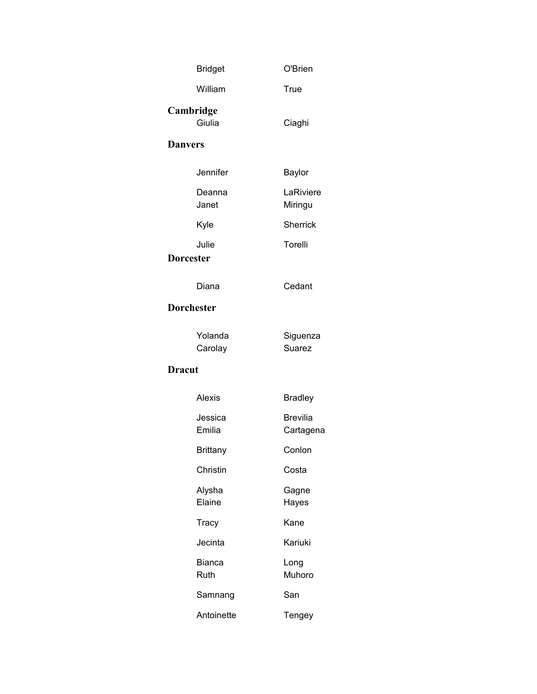| <b>Bridget</b>            | O'Brien                      |
|---------------------------|------------------------------|
| William                   | True                         |
| Cambridge<br>Giulia       | Ciaghi                       |
| <b>Danvers</b>            |                              |
| Jennifer                  | Baylor                       |
| Deanna<br>Janet           | LaRiviere<br>Miringu         |
| Kyle                      | <b>Sherrick</b>              |
| Julie<br><b>Dorcester</b> | Torelli                      |
| Diana                     | Cedant                       |
| <b>Dorchester</b>         |                              |
| Yolanda<br>Carolay        | Siguenza<br><b>Suarez</b>    |
| <b>Dracut</b>             |                              |
| Alexis                    | <b>Bradley</b>               |
| Jessica<br>Emilia         | <b>Brevilia</b><br>Cartagena |
| <b>Brittany</b>           | Conlon                       |
| Christin                  | Costa                        |
| Alysha<br>Elaine          | Gagne<br>Hayes               |
| Tracy                     | Kane                         |
| Jecinta                   | Kariuki                      |
| Bianca<br>Ruth            | Long<br>Muhoro               |
| Samnang                   | San                          |
| Antoinette                | Tengey                       |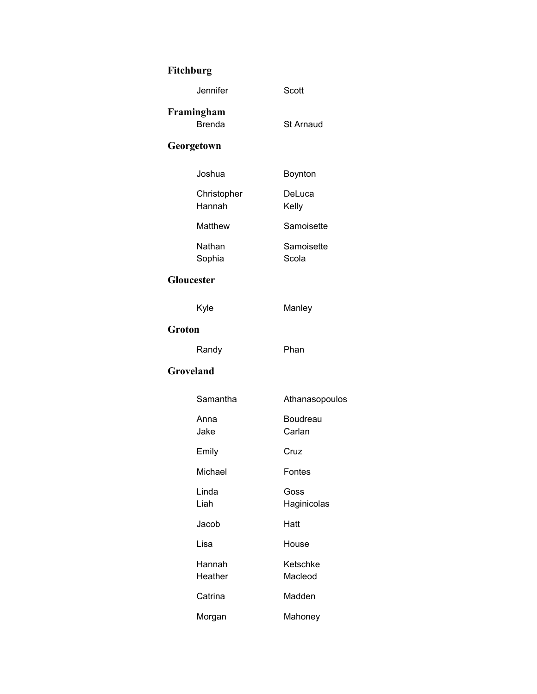# **Fitchburg**

| Jennifer                    | Scott               |
|-----------------------------|---------------------|
| Framingham<br><b>Brenda</b> | <b>St Arnaud</b>    |
| Georgetown                  |                     |
| Joshua                      | Boynton             |
| Christopher<br>Hannah       | DeLuca<br>Kelly     |
| Matthew                     | Samoisette          |
| Nathan<br>Sophia            | Samoisette<br>Scola |
| Gloucester                  |                     |
| Kyle                        | Manley              |
| Groton                      |                     |
| Randy                       | Phan                |
| Groveland                   |                     |
| Samantha                    | Athanasopoulos      |
| Anna<br>Jake                | Boudreau<br>Carlan  |
| Emily                       | Cruz                |
| Michael                     | Fontes              |
| Linda<br>Liah               | Goss<br>Haginicolas |
| Jacob                       | Hatt                |
| Lisa                        | House               |
| Hannah<br>Heather           | Ketschke<br>Macleod |
| Catrina                     | Madden              |
| Morgan                      | Mahoney             |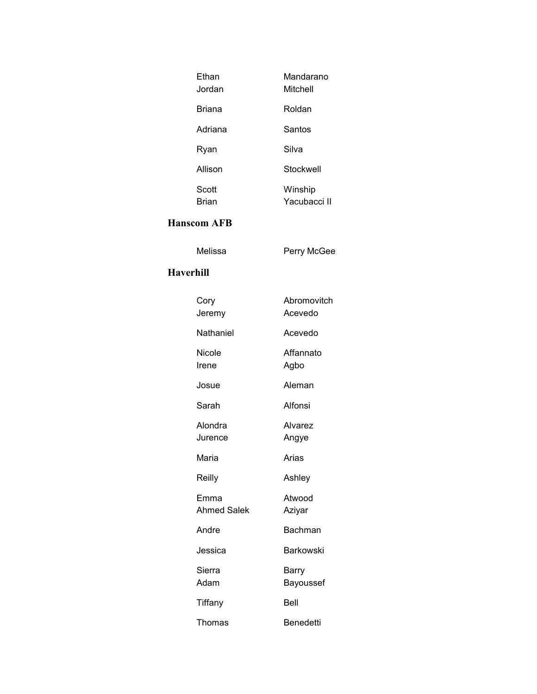| Fthan<br>Jordan       | Mandarano<br>Mitchell   |
|-----------------------|-------------------------|
| <b>Briana</b>         | Roldan                  |
| Adriana               | Santos                  |
| Ryan                  | Silva                   |
| Allison               | Stockwell               |
| Scott<br><b>Rrian</b> | Winship<br>Yacubacci II |

#### **Hanscom AFB**

Melissa Perry McGee

#### **Haverhill**

| Cory<br>Jeremy             | Abromovitch<br>Acevedo |
|----------------------------|------------------------|
| Nathaniel                  | Acevedo                |
| Nicole<br>Irene            | Affannato<br>Agbo      |
| Josue                      | Aleman                 |
| Sarah                      | Alfonsi                |
| Alondra<br>Jurence         | Alvarez<br>Angye       |
| Maria                      | Arias                  |
| Reilly                     | Ashley                 |
| Emma<br><b>Ahmed Salek</b> | Atwood<br>Aziyar       |
| Andre                      | Bachman                |
| Jessica                    | Barkowski              |
| Sierra<br>Adam             | Barry<br>Bayoussef     |
| Tiffany                    | Bell                   |
| Thomas                     | Benedetti              |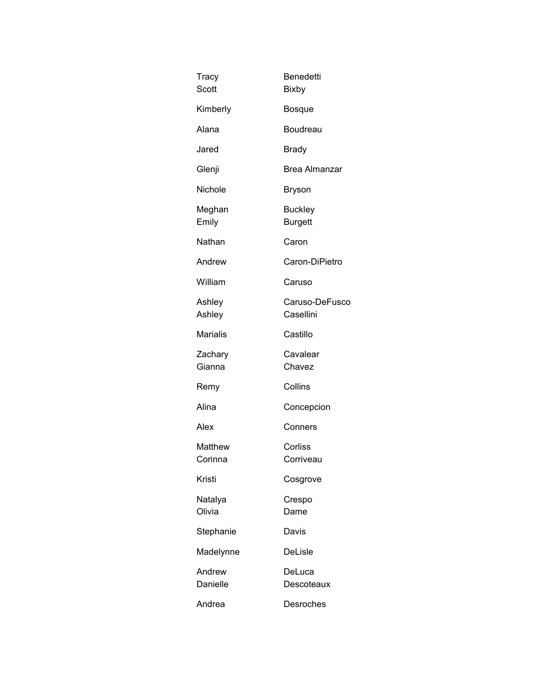| Tracy<br>Scott     | Benedetti<br><b>Bixby</b>        |
|--------------------|----------------------------------|
| Kimberly           | <b>Bosque</b>                    |
| Alana              | <b>Boudreau</b>                  |
| Jared              | <b>Brady</b>                     |
| Glenji             | Brea Almanzar                    |
| Nichole            | <b>Bryson</b>                    |
| Meghan<br>Emily    | <b>Buckley</b><br><b>Burgett</b> |
| Nathan             | Caron                            |
| Andrew             | Caron-DiPietro                   |
| William            | Caruso                           |
| Ashley<br>Ashley   | Caruso-DeFusco<br>Casellini      |
| <b>Marialis</b>    | Castillo                         |
| Zachary<br>Gianna  | Cavalear<br>Chavez               |
| Remy               | Collins                          |
| Alina              | Concepcion                       |
| Alex               | Conners                          |
| Matthew<br>Corinna | Corliss<br>Corriveau             |
| Kristi             | Cosgrove                         |
| Natalya<br>Olivia  | Crespo<br>Dame                   |
| Stephanie          | Davis                            |
| Madelynne          | DeLisle                          |
| Andrew<br>Danielle | DeLuca<br>Descoteaux             |
| Andrea             | Desroches                        |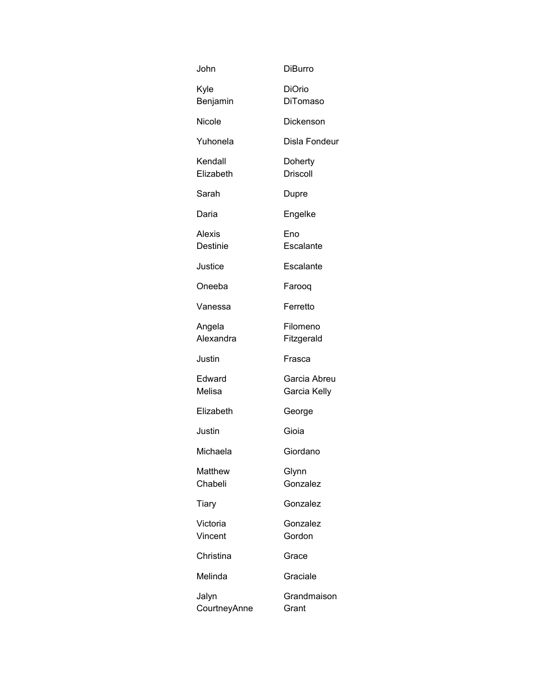| John                  | <b>DiBurro</b>                   |
|-----------------------|----------------------------------|
| Kyle<br>Benjamin      | <b>DiOrio</b><br><b>DiTomaso</b> |
| Nicole                | Dickenson                        |
| Yuhonela              | Disla Fondeur                    |
| Kendall<br>Elizabeth  | Doherty<br><b>Driscoll</b>       |
| Sarah                 | Dupre                            |
| Daria                 | Engelke                          |
| Alexis<br>Destinie    | Eno<br>Escalante                 |
| Justice               | Escalante                        |
| Oneeba                | Farooq                           |
| Vanessa               | Ferretto                         |
| Angela<br>Alexandra   | Filomeno<br>Fitzgerald           |
| Justin                | Frasca                           |
| Edward<br>Melisa      | Garcia Abreu<br>Garcia Kelly     |
| Elizabeth             | George                           |
| Justin                | Gioia                            |
| Michaela              | Giordano                         |
| Matthew<br>Chabeli    | Glynn<br>Gonzalez                |
| Tiary                 | Gonzalez                         |
| Victoria<br>Vincent   | Gonzalez<br>Gordon               |
| Christina             | Grace                            |
| Melinda               | Graciale                         |
| Jalyn<br>CourtneyAnne | Grandmaison<br>Grant             |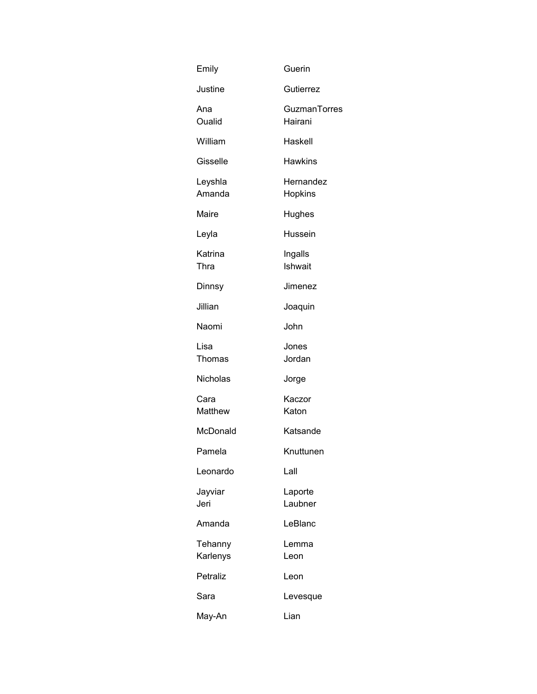| Emily               | Guerin                  |
|---------------------|-------------------------|
| Justine             | Gutierrez               |
| Ana<br>Oualid       | GuzmanTorres<br>Hairani |
| William             | Haskell                 |
| Gisselle            | <b>Hawkins</b>          |
| Leyshla<br>Amanda   | Hernandez<br>Hopkins    |
| Maire               | Hughes                  |
| Leyla               | Hussein                 |
| Katrina<br>Thra     | Ingalls<br>Ishwait      |
| Dinnsy              | Jimenez                 |
| Jillian             | Joaquin                 |
| Naomi               | John                    |
| Lisa<br>Thomas      | Jones<br>Jordan         |
| Nicholas            | Jorge                   |
| Cara<br>Matthew     | Kaczor<br>Katon         |
| McDonald            | Katsande                |
| Pamela              | Knuttunen               |
| Leonardo            | Lall                    |
| Jayviar<br>Jeri     | Laporte<br>Laubner      |
| Amanda              | LeBlanc                 |
| Tehanny<br>Karlenys | Lemma<br>Leon           |
| Petraliz            | Leon                    |
| Sara                | Levesque                |
| May-An              | Lian                    |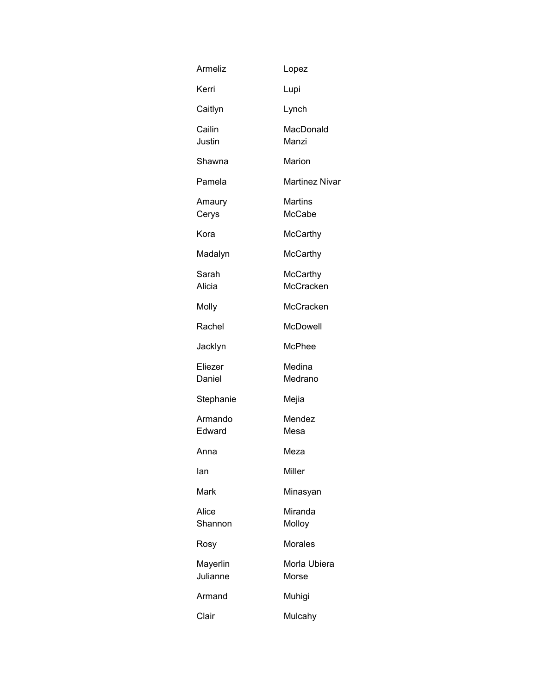| Armeliz              | Lopez                        |
|----------------------|------------------------------|
| Kerri                | Lupi                         |
| Caitlyn              | Lynch                        |
| Cailin<br>Justin     | MacDonald<br>Manzi           |
| Shawna               | Marion                       |
| Pamela               | <b>Martinez Nivar</b>        |
| Amaury<br>Cerys      | <b>Martins</b><br>McCabe     |
| Kora                 | McCarthy                     |
| Madalyn              | McCarthy                     |
| Sarah<br>Alicia      | McCarthy<br><b>McCracken</b> |
| Molly                | McCracken                    |
| Rachel               | McDowell                     |
| Jacklyn              | McPhee                       |
| Eliezer<br>Daniel    | Medina<br>Medrano            |
| Stephanie            | Mejia                        |
| Armando<br>Edward    | Mendez<br>Mesa               |
| Anna                 | Meza                         |
| lan                  | Miller                       |
| Mark                 | Minasyan                     |
| Alice<br>Shannon     | Miranda<br>Molloy            |
| Rosy                 | <b>Morales</b>               |
| Mayerlin<br>Julianne | Morla Ubiera<br>Morse        |
| Armand               | Muhigi                       |
| Clair                | Mulcahy                      |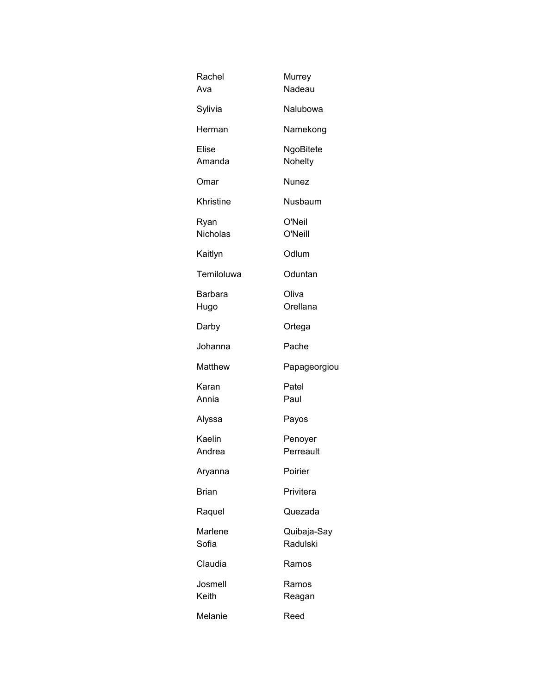| Rachel<br>Ava           | Murrey<br>Nadeau        |
|-------------------------|-------------------------|
| Sylivia                 | Nalubowa                |
| Herman                  | Namekong                |
| Elise<br>Amanda         | NgoBitete<br>Nohelty    |
| Omar                    | Nunez                   |
| Khristine               | Nusbaum                 |
| Ryan<br><b>Nicholas</b> | O'Neil<br>O'Neill       |
| Kaitlyn                 | Odlum                   |
| Temiloluwa              | Oduntan                 |
| Barbara<br>Hugo         | Oliva<br>Orellana       |
| Darby                   | Ortega                  |
| Johanna                 | Pache                   |
| Matthew                 | Papageorgiou            |
| Karan<br>Annia          | Patel<br>Paul           |
| Alyssa                  | Payos                   |
| Kaelin<br>Andrea        | Penoyer<br>Perreault    |
| Aryanna                 | Poirier                 |
| <b>Brian</b>            | Privitera               |
| Raquel                  | Quezada                 |
| Marlene<br>Sofia        | Quibaja-Say<br>Radulski |
| Claudia                 | Ramos                   |
| Josmell<br>Keith        | Ramos<br>Reagan         |
| Melanie                 | Reed                    |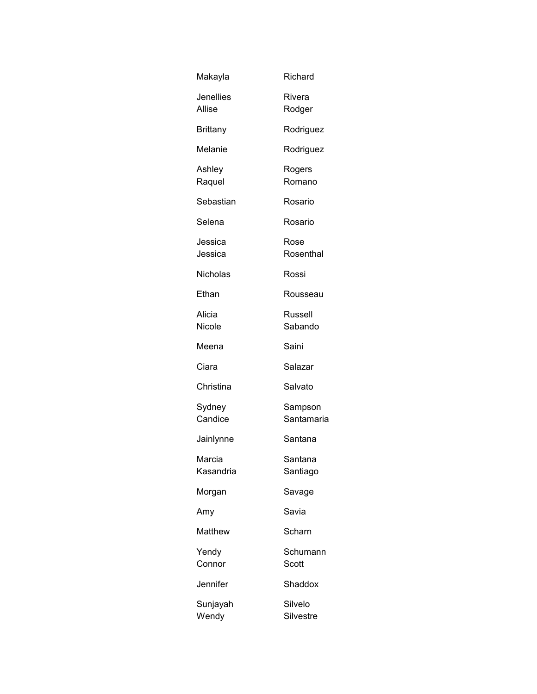| Makayla                    | Richard               |
|----------------------------|-----------------------|
| <b>Jenellies</b><br>Allise | Rivera<br>Rodger      |
| <b>Brittany</b>            | Rodriguez             |
| Melanie                    | Rodriguez             |
| Ashley<br>Raquel           | Rogers<br>Romano      |
| Sebastian                  | Rosario               |
| Selena                     | Rosario               |
| Jessica<br>Jessica         | Rose<br>Rosenthal     |
| <b>Nicholas</b>            | Rossi                 |
| Ethan                      | Rousseau              |
| Alicia<br>Nicole           | Russell<br>Sabando    |
| Meena                      | Saini                 |
| Ciara                      | Salazar               |
| Christina                  | Salvato               |
| Sydney<br>Candice          | Sampson<br>Santamaria |
| Jainlynne                  | Santana               |
| Marcia<br>Kasandria        | Santana<br>Santiago   |
| Morgan                     | Savage                |
| Amy                        | Savia                 |
| Matthew                    | Scharn                |
| Yendy<br>Connor            | Schumann<br>Scott     |
| Jennifer                   | Shaddox               |
| Sunjayah<br>Wendy          | Silvelo<br>Silvestre  |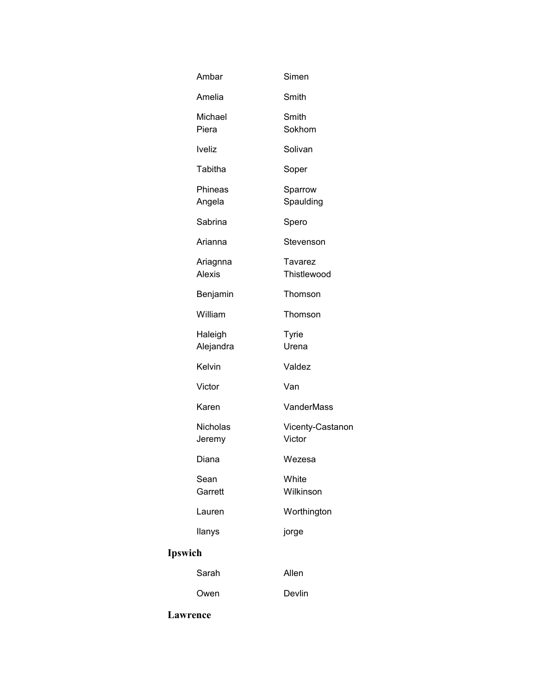|                | Ambar                     | Simen                      |
|----------------|---------------------------|----------------------------|
|                | Amelia                    | Smith                      |
|                | Michael<br>Piera          | Smith<br>Sokhom            |
|                | <b>Iveliz</b>             | Solivan                    |
|                | Tabitha                   | Soper                      |
|                | Phineas<br>Angela         | Sparrow<br>Spaulding       |
|                | Sabrina                   | Spero                      |
|                | Arianna                   | Stevenson                  |
|                | Ariagnna<br><b>Alexis</b> | Tavarez<br>Thistlewood     |
|                | Benjamin                  | Thomson                    |
|                | William                   | Thomson                    |
|                | Haleigh<br>Alejandra      | <b>Tyrie</b><br>Urena      |
|                | Kelvin                    | Valdez                     |
|                | Victor                    | Van                        |
|                | Karen                     | <b>VanderMass</b>          |
|                | Nicholas<br>Jeremy        | Vicenty-Castanon<br>Victor |
|                | Diana                     | Wezesa                     |
|                | Sean<br>Garrett           | White<br>Wilkinson         |
|                | Lauren                    | Worthington                |
|                | llanys                    | jorge                      |
| <b>Ipswich</b> |                           |                            |
|                | Sarah                     | Allen                      |
|                | Owen                      | Devlin                     |
|                |                           |                            |

## **Lawrence**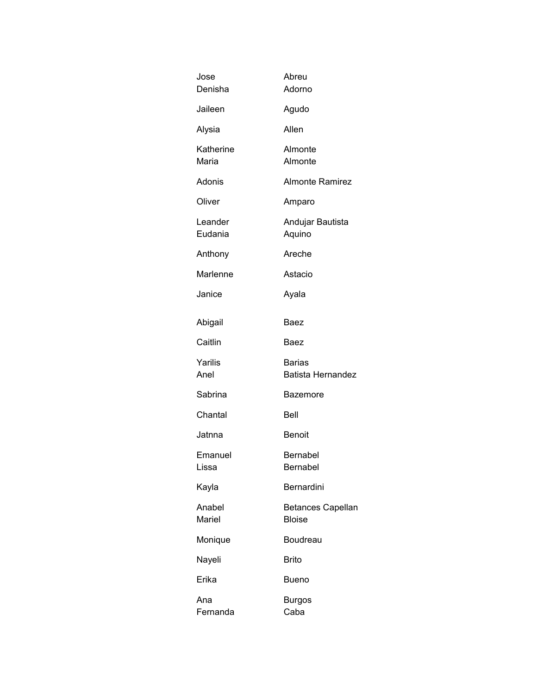| Jose<br>Denisha    | Abreu<br>Adorno                           |
|--------------------|-------------------------------------------|
| Jaileen            | Agudo                                     |
| Alysia             | Allen                                     |
| Katherine<br>Maria | Almonte<br>Almonte                        |
| Adonis             | <b>Almonte Ramirez</b>                    |
| Oliver             | Amparo                                    |
| Leander<br>Eudania | Andujar Bautista<br>Aquino                |
| Anthony            | Areche                                    |
| Marlenne           | Astacio                                   |
| Janice             | Ayala                                     |
| Abigail            | Baez                                      |
| Caitlin            | Baez                                      |
| Yarilis<br>Anel    | <b>Barias</b><br><b>Batista Hernandez</b> |
| Sabrina            | Bazemore                                  |
| Chantal            | Bell                                      |
| Jatnna             | <b>Benoit</b>                             |
| Emanuel<br>Lissa   | <b>Bernabel</b><br>Bernabel               |
| Kayla              | Bernardini                                |
| Anabel<br>Mariel   | <b>Betances Capellan</b><br><b>Bloise</b> |
| Monique            | Boudreau                                  |
| Nayeli             | <b>Brito</b>                              |
| Erika              | Bueno                                     |
| Ana<br>Fernanda    | <b>Burgos</b><br>Caba                     |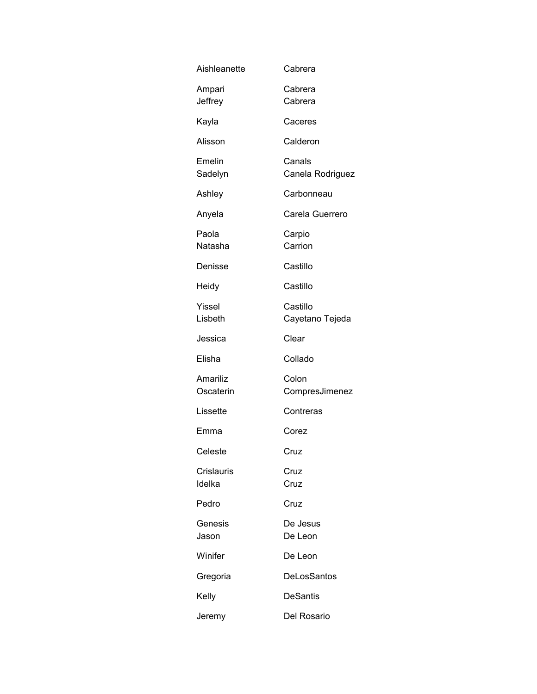| Aishleanette                | Cabrera                     |
|-----------------------------|-----------------------------|
| Ampari<br>Jeffrey           | Cabrera<br>Cabrera          |
| Kayla                       | Caceres                     |
| Alisson                     | Calderon                    |
| Emelin<br>Sadelyn           | Canals<br>Canela Rodriguez  |
| Ashley                      | Carbonneau                  |
| Anyela                      | Carela Guerrero             |
| Paola<br>Natasha            | Carpio<br>Carrion           |
| Denisse                     | Castillo                    |
| Heidy                       | Castillo                    |
| Yissel<br>Lisbeth           | Castillo<br>Cayetano Tejeda |
| Jessica                     | Clear                       |
| Elisha                      | Collado                     |
| Amariliz<br>Oscaterin       | Colon<br>CompresJimenez     |
| Lissette                    | Contreras                   |
| Emma                        | Corez                       |
| Celeste                     | Cruz                        |
| <b>Crislauris</b><br>Idelka | Cruz<br>Cruz                |
| Pedro                       | Cruz                        |
| Genesis<br>Jason            | De Jesus<br>De Leon         |
| Winifer                     | De Leon                     |
| Gregoria                    | DeLosSantos                 |
| Kelly                       | <b>DeSantis</b>             |
| Jeremy                      | Del Rosario                 |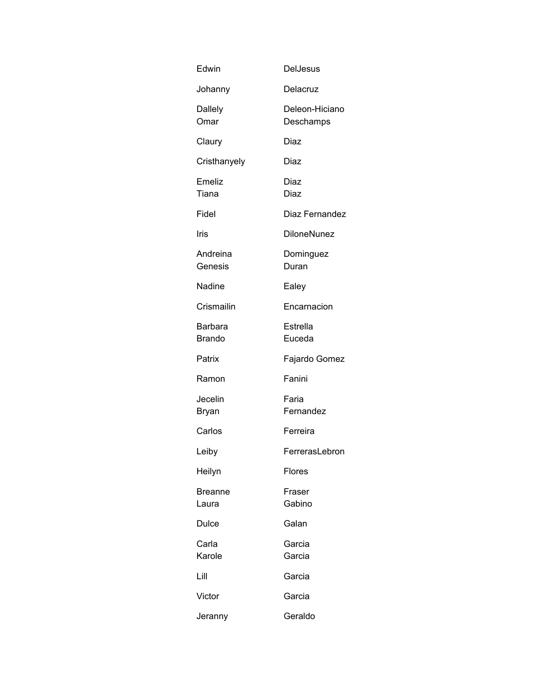| Edwin                    | <b>DelJesus</b>             |
|--------------------------|-----------------------------|
| Johanny                  | Delacruz                    |
| Dallely<br>Omar          | Deleon-Hiciano<br>Deschamps |
| Claury                   | Diaz                        |
| Cristhanyely             | Diaz                        |
| Emeliz<br>Tiana          | Diaz<br>Diaz                |
| Fidel                    | Diaz Fernandez              |
| Iris                     | <b>DiloneNunez</b>          |
| Andreina<br>Genesis      | Dominguez<br>Duran          |
| Nadine                   | Ealey                       |
| Crismailin               | Encarnacion                 |
| Barbara<br><b>Brando</b> | Estrella<br>Euceda          |
| Patrix                   | Fajardo Gomez               |
| Ramon                    | Fanini                      |
| Jecelin<br>Bryan         | Faria<br>Fernandez          |
| Carlos                   | Ferreira                    |
| Leiby                    | FerrerasLebron              |
| Heilyn                   | Flores                      |
| <b>Breanne</b><br>Laura  | Fraser<br>Gabino            |
| Dulce                    | Galan                       |
| Carla<br>Karole          | Garcia<br>Garcia            |
| Lill                     | Garcia                      |
| Victor                   | Garcia                      |
| Jeranny                  | Geraldo                     |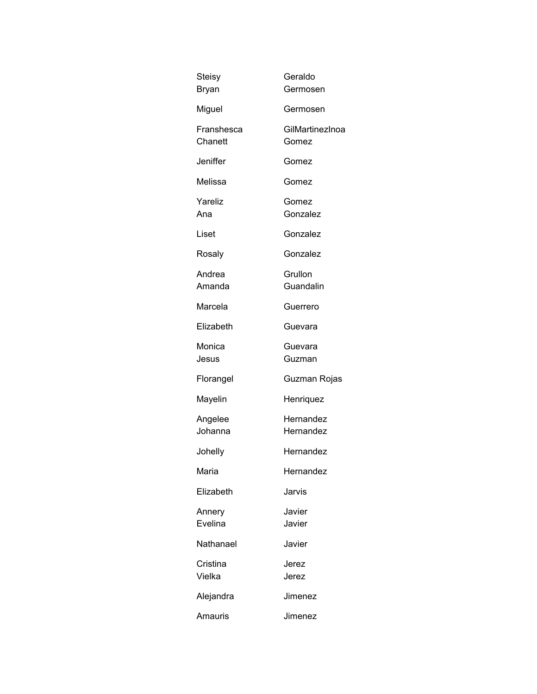| <b>Steisy</b><br>Bryan | Geraldo<br>Germosen      |
|------------------------|--------------------------|
| Miguel                 | Germosen                 |
| Franshesca<br>Chanett  | GilMartinezInoa<br>Gomez |
| Jeniffer               | Gomez                    |
| Melissa                | Gomez                    |
| Yareliz<br>Ana         | Gomez<br>Gonzalez        |
| Liset                  | Gonzalez                 |
| Rosaly                 | Gonzalez                 |
| Andrea<br>Amanda       | Grullon<br>Guandalin     |
| Marcela                | Guerrero                 |
| Elizabeth              | Guevara                  |
| Monica<br>Jesus        | Guevara<br>Guzman        |
| Florangel              | Guzman Rojas             |
| Mayelin                | Henriquez                |
| Angelee<br>Johanna     | Hernandez<br>Hernandez   |
| Johelly                | Hernandez                |
| Maria                  | Hernandez                |
| Elizabeth              | Jarvis                   |
| Annery<br>Evelina      | Javier<br>Javier         |
| Nathanael              | Javier                   |
| Cristina<br>Vielka     | Jerez<br>Jerez           |
| Alejandra              | Jimenez                  |
| Amauris                | Jimenez                  |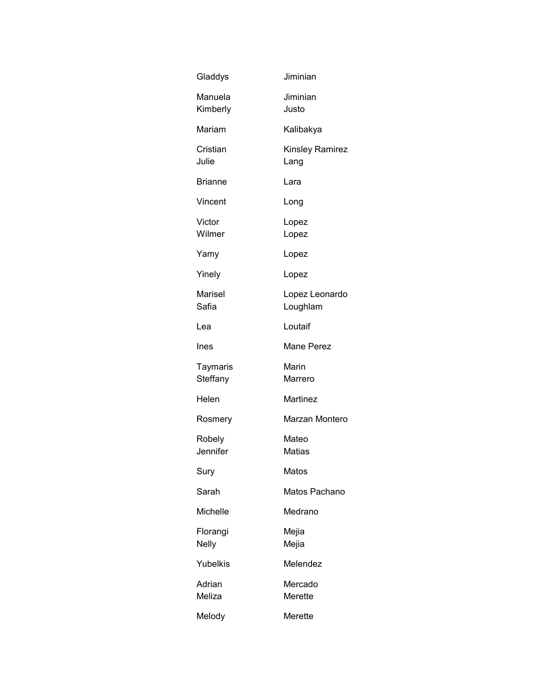| Gladdys                  | Jiminian                   |
|--------------------------|----------------------------|
| Manuela<br>Kimberly      | Jiminian<br>Justo          |
| Mariam                   | Kalibakya                  |
| Cristian<br>Julie        | Kinsley Ramirez<br>Lang    |
| <b>Brianne</b>           | Lara                       |
| Vincent                  | Long                       |
| Victor<br>Wilmer         | Lopez<br>Lopez             |
| Yamy                     | Lopez                      |
| Yinely                   | Lopez                      |
| Marisel<br>Safia         | Lopez Leonardo<br>Loughlam |
| Lea                      | Loutaif                    |
| Ines                     | <b>Mane Perez</b>          |
| Taymaris<br>Steffany     | Marin<br>Marrero           |
| Helen                    | Martinez                   |
| Rosmery                  | Marzan Montero             |
| Robely<br>Jennifer       | Mateo<br><b>Matias</b>     |
| Sury                     | Matos                      |
| Sarah                    | Matos Pachano              |
| Michelle                 | Medrano                    |
| Florangi<br><b>Nelly</b> | Mejia<br>Mejia             |
| Yubelkis                 | Melendez                   |
| Adrian<br>Meliza         | Mercado<br>Merette         |
| Melody                   | Merette                    |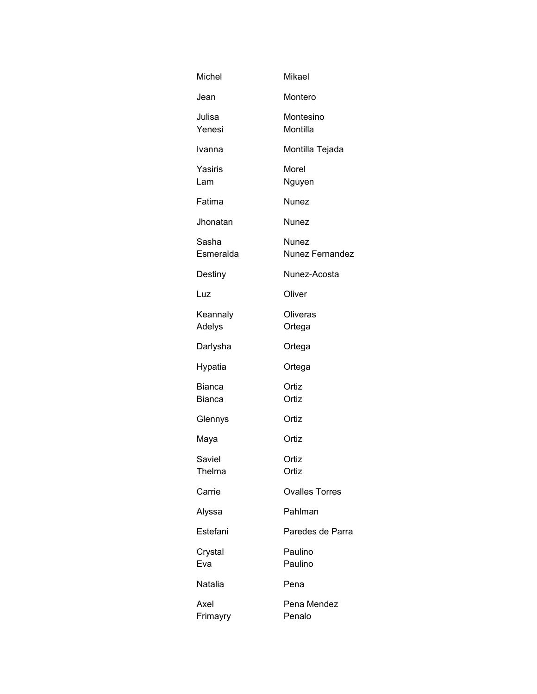| Michel                         | <b>Mikael</b>                   |
|--------------------------------|---------------------------------|
| Jean                           | Montero                         |
| Julisa<br>Yenesi               | Montesino<br>Montilla           |
| Ivanna                         | Montilla Tejada                 |
| Yasiris<br>Lam                 | Morel<br>Nguyen                 |
| Fatima                         | Nunez                           |
| Jhonatan                       | Nunez                           |
| Sasha<br>Esmeralda             | Nunez<br><b>Nunez Fernandez</b> |
| Destiny                        | Nunez-Acosta                    |
| Luz                            | Oliver                          |
| Keannaly<br>Adelys             | Oliveras<br>Ortega              |
| Darlysha                       | Ortega                          |
| Hypatia                        | Ortega                          |
| <b>Bianca</b><br><b>Bianca</b> | Ortiz<br>Ortiz                  |
| Glennys                        | Ortiz                           |
| Maya                           | Ortiz                           |
| Saviel<br>Thelma               | Ortiz<br>Ortiz                  |
| Carrie                         | <b>Ovalles Torres</b>           |
| Alyssa                         | Pahlman                         |
| Estefani                       | Paredes de Parra                |
| Crystal<br>Eva                 | Paulino<br>Paulino              |
| Natalia                        | Pena                            |
| Axel<br>Frimayry               | Pena Mendez<br>Penalo           |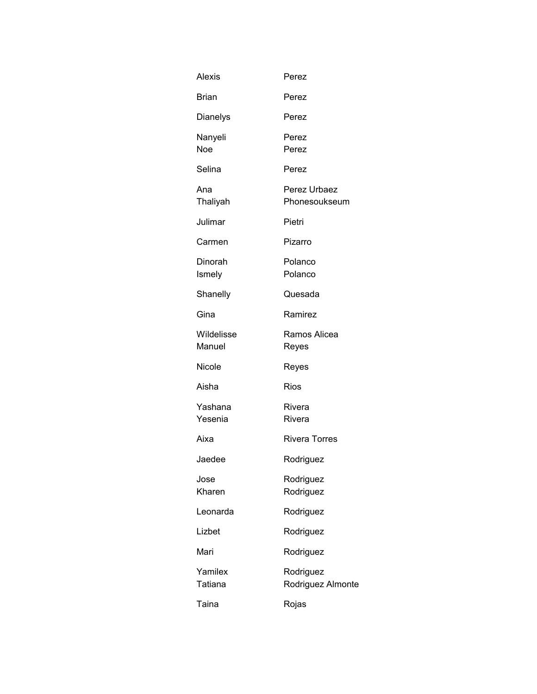| <b>Alexis</b>         | Perez                          |
|-----------------------|--------------------------------|
| <b>Brian</b>          | Perez                          |
| <b>Dianelys</b>       | Perez                          |
| Nanyeli<br><b>Noe</b> | Perez<br>Perez                 |
| Selina                | Perez                          |
| Ana<br>Thaliyah       | Perez Urbaez<br>Phonesoukseum  |
| Julimar               | Pietri                         |
| Carmen                | Pizarro                        |
| Dinorah<br>Ismely     | Polanco<br>Polanco             |
| Shanelly              | Quesada                        |
| Gina                  | Ramirez                        |
| Wildelisse<br>Manuel  | Ramos Alicea<br>Reyes          |
| Nicole                | Reyes                          |
| Aisha                 | <b>Rios</b>                    |
| Yashana<br>Yesenia    | Rivera<br>Rivera               |
| Aixa                  | <b>Rivera Torres</b>           |
| Jaedee                | Rodriguez                      |
| Jose<br>Kharen        | Rodriguez<br>Rodriguez         |
| Leonarda              | Rodriguez                      |
| Lizbet                | Rodriguez                      |
| Mari                  | Rodriguez                      |
| Yamilex<br>Tatiana    | Rodriguez<br>Rodriguez Almonte |
| Taina                 | Rojas                          |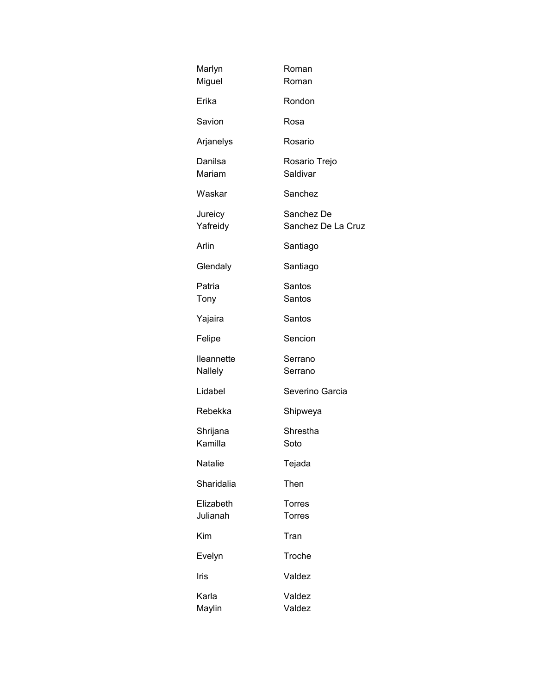| Marlyn<br>Miguel      | Roman<br>Roman                   |
|-----------------------|----------------------------------|
| Erika                 | Rondon                           |
| Savion                | Rosa                             |
| Arjanelys             | Rosario                          |
| Danilsa<br>Mariam     | Rosario Trejo<br>Saldivar        |
| Waskar                | Sanchez                          |
| Jureicy<br>Yafreidy   | Sanchez De<br>Sanchez De La Cruz |
| Arlin                 | Santiago                         |
| Glendaly              | Santiago                         |
| Patria<br>Tony        | Santos<br>Santos                 |
| Yajaira               | Santos                           |
| Felipe                | Sencion                          |
| lleannette<br>Nallely | Serrano<br>Serrano               |
| Lidabel               | Severino Garcia                  |
| Rebekka               | Shipweya                         |
| Shrijana<br>Kamilla   | Shrestha<br>Soto                 |
| Natalie               | Tejada                           |
| Sharidalia            | Then                             |
| Elizabeth<br>Julianah | Torres<br><b>Torres</b>          |
| Kim                   | Tran                             |
| Evelyn                | Troche                           |
| Iris                  | Valdez                           |
| Karla<br>Maylin       | Valdez<br>Valdez                 |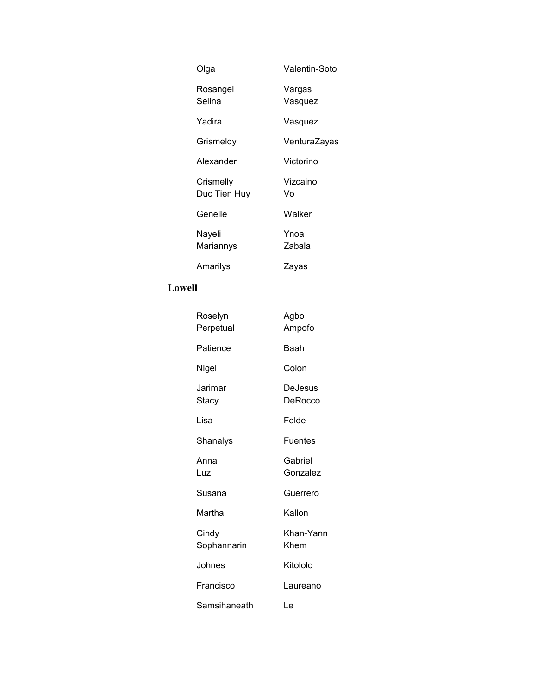| Olga                      | Valentin-Soto     |
|---------------------------|-------------------|
| Rosangel<br>Selina        | Vargas<br>Vasquez |
| Yadira                    | Vasquez           |
| Grismeldy                 | VenturaZayas      |
| Alexander                 | Victorino         |
| Crismelly<br>Duc Tien Huy | Vizcaino<br>V٥    |
| Genelle                   | Walker            |
| Nayeli<br>Mariannys       | Ynoa<br>Zabala    |
| Amarilys                  | ∠ayas             |

# **Lowell**

| Roselyn<br>Perpetual | Agbo<br>Ampofo      |
|----------------------|---------------------|
| Patience             | <b>Baah</b>         |
| Nigel                | Colon               |
| Jarimar<br>Stacy     | DeJesus<br>DeRocco  |
| Lisa                 | Felde               |
| Shanalys             | Fuentes             |
| Anna<br>Luz          | Gabriel<br>Gonzalez |
| Susana               | Guerrero            |
| Martha               | Kallon              |
| Cindy<br>Sophannarin | Khan-Yann<br>Khem   |
| Johnes               | Kitololo            |
| Francisco            | Laureano            |
| Samsihaneath         | Le                  |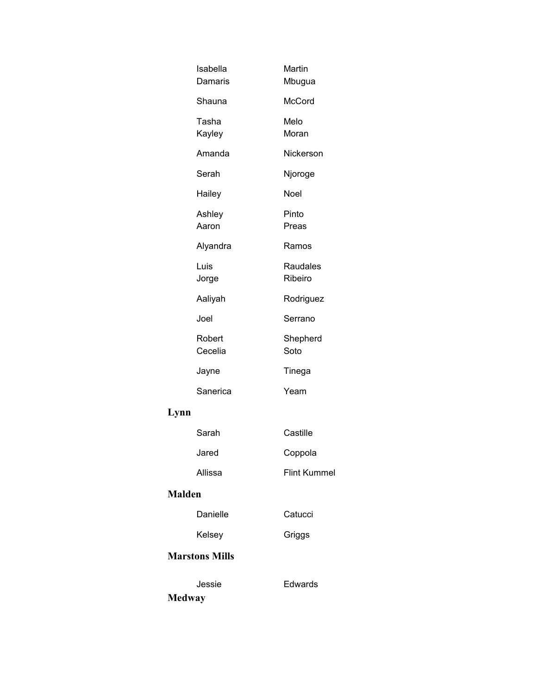| Isabella<br>Damaris     | Martin<br>Mbugua    |
|-------------------------|---------------------|
| Shauna                  | McCord              |
| Tasha<br>Kayley         | Melo<br>Moran       |
| Amanda                  | Nickerson           |
| Serah                   | Njoroge             |
| Hailey                  | Noel                |
| Ashley<br>Aaron         | Pinto<br>Preas      |
| Alyandra                | Ramos               |
| Luis<br>Jorge           | Raudales<br>Ribeiro |
| Aaliyah                 | Rodriguez           |
| Joel                    | Serrano             |
| Robert<br>Cecelia       | Shepherd<br>Soto    |
| Jayne                   | Tinega              |
| Sanerica                | Yeam                |
| Lynn                    |                     |
| Sarah                   | Castille            |
| Jared                   | Coppola             |
| Allissa                 | <b>Flint Kummel</b> |
| <b>Malden</b>           |                     |
| Danielle                | Catucci             |
| Kelsey                  | Griggs              |
| <b>Marstons Mills</b>   |                     |
| Jessie<br><b>Medway</b> | Edwards             |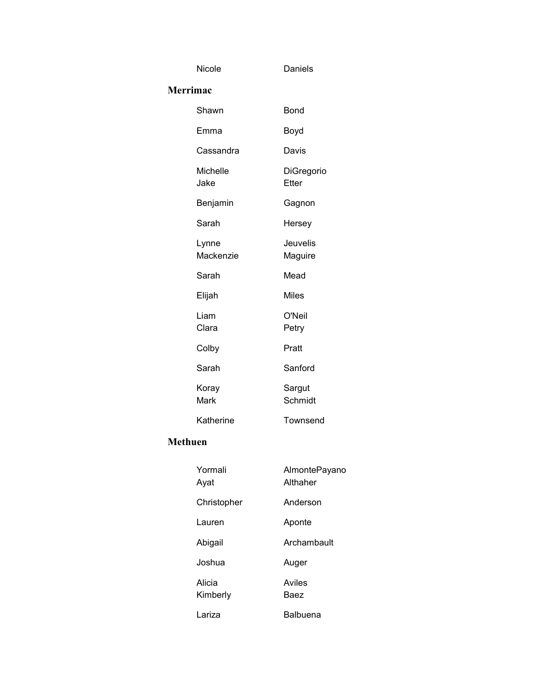| Nicole             | Daniels             |
|--------------------|---------------------|
| <b>Merrimac</b>    |                     |
| Shawn              | Bond                |
| Emma               | Boyd                |
| Cassandra          | Davis               |
| Michelle<br>Jake   | DiGregorio<br>Etter |
| Benjamin           | Gagnon              |
| Sarah              | Hersey              |
| Lynne<br>Mackenzie | Jeuvelis<br>Maguire |
| Sarah              | Mead                |
| Elijah             | <b>Miles</b>        |
| Liam<br>Clara      | O'Neil<br>Petry     |
| Colby              | Pratt               |
| Sarah              | Sanford             |
| Koray<br>Mark      | Sargut<br>Schmidt   |
| Katherine          | Townsend            |

#### **Methuen**

| Yormali<br>Ayat    | AlmontePayano<br>Althaher |
|--------------------|---------------------------|
| Christopher        | Anderson                  |
| Lauren             | Aponte                    |
| Abigail            | Archambault               |
| Joshua             | Auger                     |
| Alicia<br>Kimberly | Aviles<br>Baez            |
| Lariza             | Balbuena                  |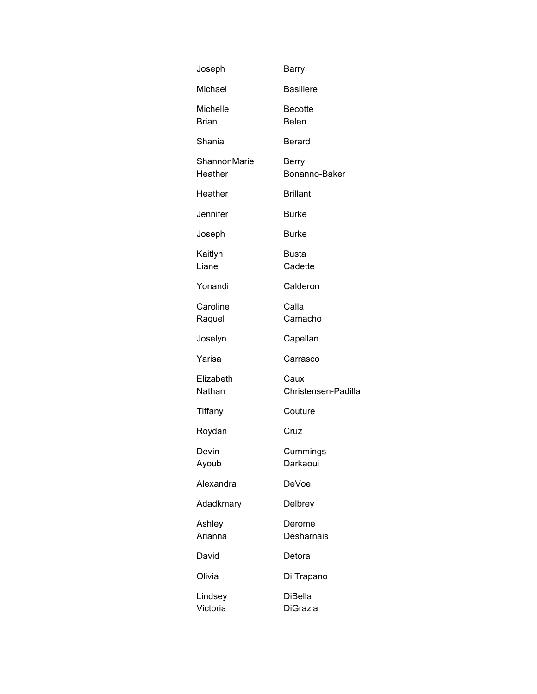| Joseph                          | Barry                         |
|---------------------------------|-------------------------------|
| Michael                         | <b>Basiliere</b>              |
| <b>Michelle</b><br><b>Brian</b> | Becotte<br><b>Belen</b>       |
| Shania                          | Berard                        |
| ShannonMarie<br>Heather         | <b>Berry</b><br>Bonanno-Baker |
| Heather                         | <b>Brillant</b>               |
| Jennifer                        | <b>Burke</b>                  |
| Joseph                          | <b>Burke</b>                  |
| Kaitlyn<br>Liane                | <b>Busta</b><br>Cadette       |
| Yonandi                         | Calderon                      |
| Caroline<br>Raquel              | Calla<br>Camacho              |
| Joselyn                         | Capellan                      |
| Yarisa                          | Carrasco                      |
| Elizabeth<br>Nathan             | Caux<br>Christensen-Padilla   |
| Tiffany                         | Couture                       |
| Roydan                          | Cruz                          |
| Devin<br>Ayoub                  | Cummings<br>Darkaoui          |
| Alexandra                       | DeVoe                         |
| Adadkmary                       | Delbrey                       |
| Ashley<br>Arianna               | Derome<br>Desharnais          |
| David                           | Detora                        |
| Olivia                          | Di Trapano                    |
| Lindsey<br>Victoria             | <b>DiBella</b><br>DiGrazia    |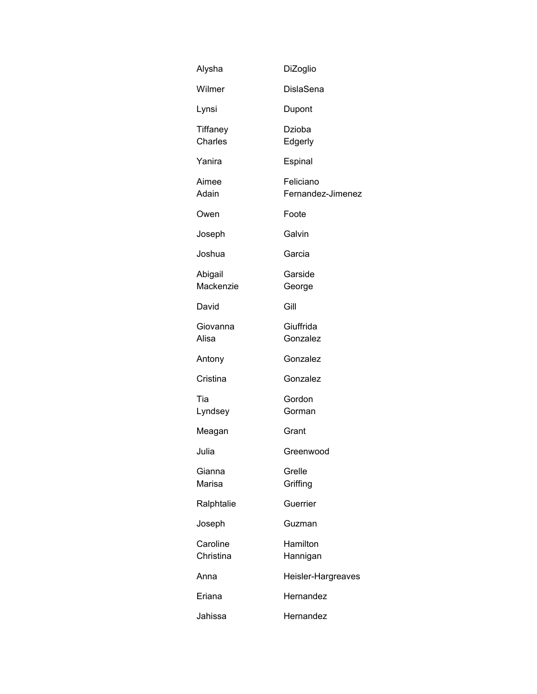| Alysha                | DiZoglio                       |
|-----------------------|--------------------------------|
| Wilmer                | <b>DislaSena</b>               |
| Lynsi                 | Dupont                         |
| Tiffaney<br>Charles   | Dzioba<br>Edgerly              |
| Yanira                | Espinal                        |
| Aimee<br>Adain        | Feliciano<br>Fernandez-Jimenez |
| Owen                  | Foote                          |
| Joseph                | Galvin                         |
| Joshua                | Garcia                         |
| Abigail<br>Mackenzie  | Garside<br>George              |
| David                 | Gill                           |
| Giovanna<br>Alisa     | Giuffrida<br>Gonzalez          |
| Antony                | Gonzalez                       |
| Cristina              | Gonzalez                       |
| Tia<br>Lyndsey        | Gordon<br>Gorman               |
| Meagan                | Grant                          |
| Julia                 | Greenwood                      |
| Gianna<br>Marisa      | Grelle<br>Griffing             |
| Ralphtalie            | Guerrier                       |
| Joseph                | Guzman                         |
| Caroline<br>Christina | Hamilton<br>Hannigan           |
| Anna                  | Heisler-Hargreaves             |
| Eriana                | Hernandez                      |
| Jahissa               | Hernandez                      |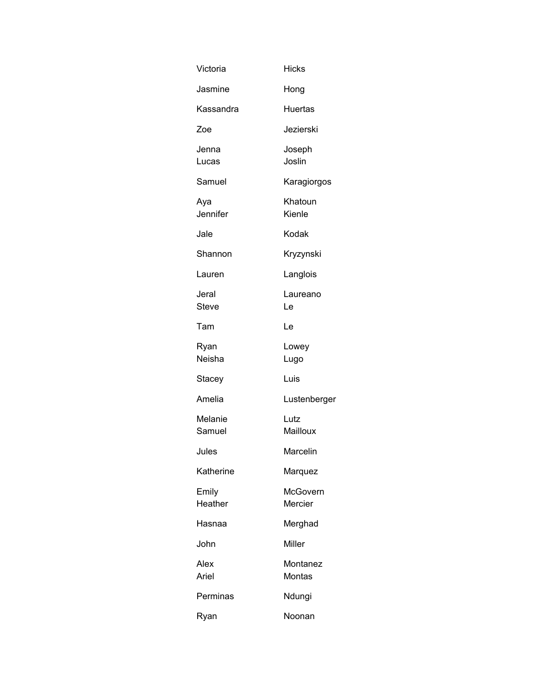| Victoria              | <b>Hicks</b>        |
|-----------------------|---------------------|
| Jasmine               | Hong                |
| Kassandra             | <b>Huertas</b>      |
| Zoe                   | Jezierski           |
| Jenna<br>Lucas        | Joseph<br>Joslin    |
| Samuel                | Karagiorgos         |
| Aya<br>Jennifer       | Khatoun<br>Kienle   |
| Jale                  | Kodak               |
| Shannon               | Kryzynski           |
| Lauren                | Langlois            |
| Jeral<br><b>Steve</b> | Laureano<br>Le      |
| Tam                   | Le                  |
| Ryan<br>Neisha        | Lowey<br>Lugo       |
| Stacey                | Luis                |
| Amelia                | Lustenberger        |
| Melanie<br>Samuel     | Lutz<br>Mailloux    |
| Jules                 | Marcelin            |
| Katherine             | Marquez             |
| Emily<br>Heather      | McGovern<br>Mercier |
| Hasnaa                | Merghad             |
| John                  | Miller              |
| Alex<br>Ariel         | Montanez<br>Montas  |
| Perminas              | Ndungi              |
| Ryan                  | Noonan              |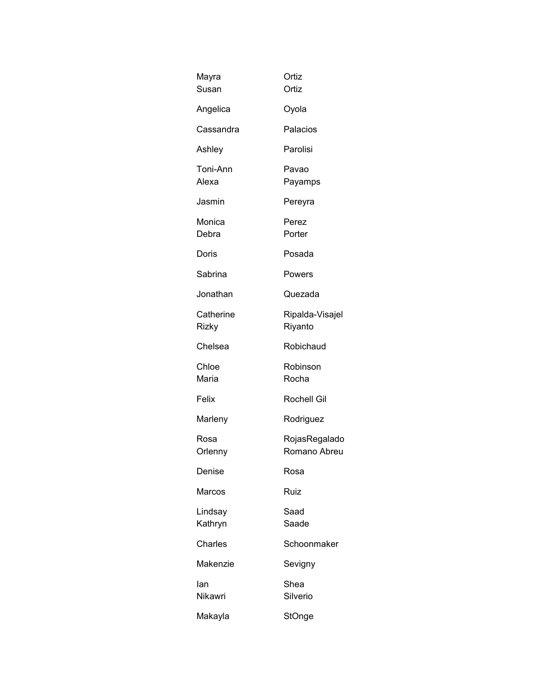| Mayra<br>Susan     | Ortiz<br>Ortiz                |
|--------------------|-------------------------------|
| Angelica           | Oyola                         |
| Cassandra          | Palacios                      |
| Ashley             | Parolisi                      |
| Toni-Ann<br>Alexa  | Pavao<br>Payamps              |
| Jasmin             | Pereyra                       |
| Monica<br>Debra    | Perez<br>Porter               |
| Doris              | Posada                        |
| Sabrina            | Powers                        |
| Jonathan           | Quezada                       |
| Catherine<br>Rizky | Ripalda-Visajel<br>Riyanto    |
| Chelsea            | Robichaud                     |
| Chloe<br>Maria     | Robinson<br>Rocha             |
| Felix              | Rochell Gil                   |
| Marleny            | Rodriguez                     |
| Rosa<br>Orlenny    | RojasRegalado<br>Romano Abreu |
| Denise             | Rosa                          |
| Marcos             | Ruiz                          |
| Lindsay<br>Kathryn | Saad<br>Saade                 |
| Charles            | Schoonmaker                   |
| Makenzie           | Sevigny                       |
| lan<br>Nikawri     | Shea<br>Silverio              |
| Makayla            | StOnge                        |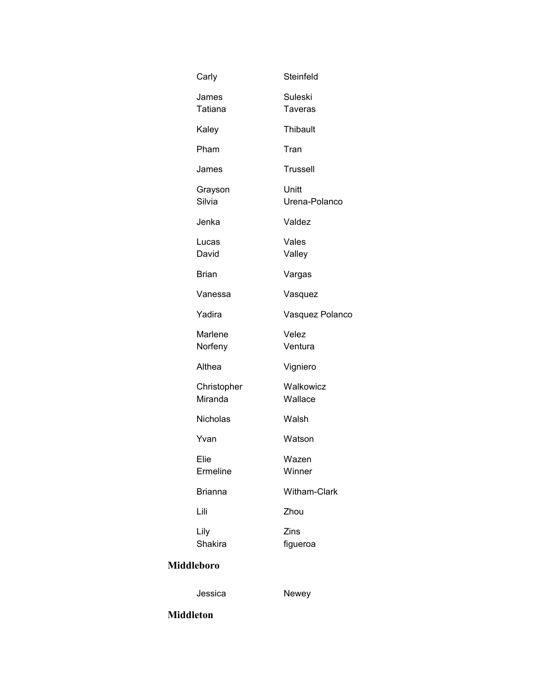| Carly                   | Steinfeld                 |
|-------------------------|---------------------------|
| James<br><b>Tatiana</b> | Suleski<br><b>Taveras</b> |
| Kaley                   | Thibault                  |
| Pham                    | Tran                      |
| James                   | Trussell                  |
| Grayson<br>Silvia       | Unitt<br>Urena-Polanco    |
| Jenka                   | Valdez                    |
| Lucas<br>David          | Vales<br>Valley           |
| <b>Brian</b>            | Vargas                    |
| Vanessa                 | Vasquez                   |
| Yadira                  | Vasquez Polanco           |
| Marlene<br>Norfeny      | Velez<br>Ventura          |
| Althea                  | Vigniero                  |
| Christopher<br>Miranda  | Walkowicz<br>Wallace      |
| Nicholas                | Walsh                     |
| Yvan                    | Watson                    |
| Elie<br>Ermeline        | Wazen<br>Winner           |
| <b>Brianna</b>          | Witham-Clark              |
| Lili                    | Zhou                      |
| Lily<br>Shakira         | Zins<br>figueroa          |
|                         |                           |

# **Middleboro**

Jessica Newey

**Middleton**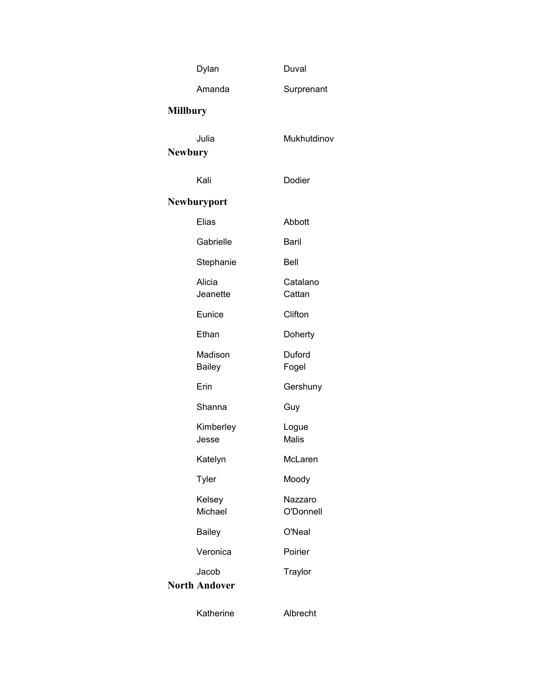|                 | Dylan                         | Duval                 |
|-----------------|-------------------------------|-----------------------|
|                 | Amanda                        | Surprenant            |
| <b>Millbury</b> |                               |                       |
| <b>Newbury</b>  | Julia                         | Mukhutdinov           |
|                 | Kali                          | Dodier                |
| Newburyport     |                               |                       |
|                 | Elias                         | Abbott                |
|                 | Gabrielle                     | Baril                 |
|                 | Stephanie                     | Bell                  |
|                 | Alicia<br>Jeanette            | Catalano<br>Cattan    |
|                 | Eunice                        | Clifton               |
|                 | Ethan                         | Doherty               |
|                 | Madison<br>Bailey             | Duford<br>Fogel       |
|                 | Erin                          | Gershuny              |
|                 | Shanna                        | Guy                   |
|                 | Kimberley<br>Jesse            | Logue<br><b>Malis</b> |
|                 | Katelyn                       | McLaren               |
|                 | Tyler                         | Moody                 |
|                 | Kelsey<br>Michael             | Nazzaro<br>O'Donnell  |
|                 | <b>Bailey</b>                 | O'Neal                |
|                 | Veronica                      | Poirier               |
|                 | Jacob<br><b>North Andover</b> | Traylor               |
|                 | Katherine                     | Albrecht              |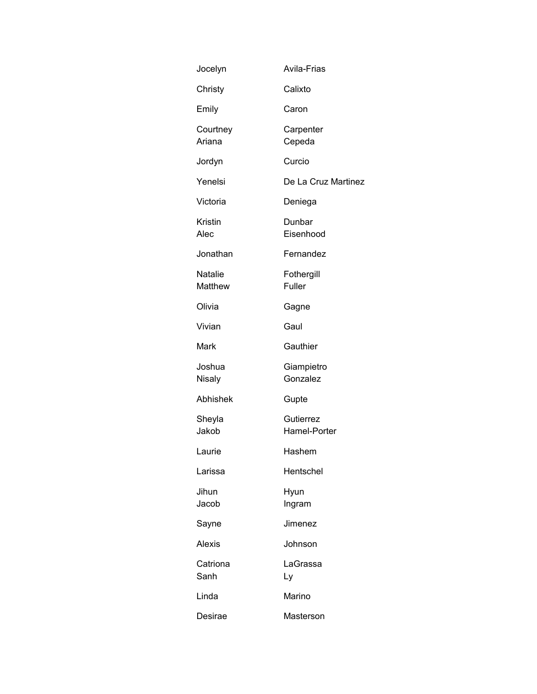| Jocelyn            | Avila-Frias               |
|--------------------|---------------------------|
| Christy            | Calixto                   |
| Emily              | Caron                     |
| Courtney<br>Ariana | Carpenter<br>Cepeda       |
| Jordyn             | Curcio                    |
| Yenelsi            | De La Cruz Martinez       |
| Victoria           | Deniega                   |
| Kristin<br>Alec    | Dunbar<br>Eisenhood       |
| Jonathan           | Fernandez                 |
| Natalie<br>Matthew | Fothergill<br>Fuller      |
| Olivia             | Gagne                     |
| Vivian             | Gaul                      |
| Mark               | Gauthier                  |
| Joshua<br>Nisaly   | Giampietro<br>Gonzalez    |
| Abhishek           | Gupte                     |
| Sheyla<br>Jakob    | Gutierrez<br>Hamel-Porter |
| Laurie             | Hashem                    |
| Larissa            | Hentschel                 |
| Jihun<br>Jacob     | Hyun<br>Ingram            |
| Sayne              | Jimenez                   |
| Alexis             | Johnson                   |
| Catriona<br>Sanh   | LaGrassa<br>Ly            |
| Linda              | Marino                    |
| Desirae            | Masterson                 |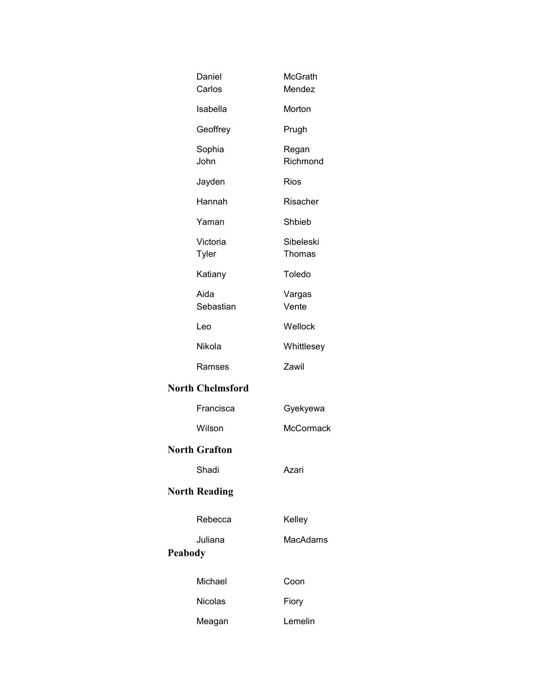| Daniel<br>Carlos        | McGrath<br>Mendez   |
|-------------------------|---------------------|
| Isabella                | Morton              |
| Geoffrey                | Prugh               |
| Sophia<br>John          | Regan<br>Richmond   |
| Jayden                  | Rios                |
| Hannah                  | Risacher            |
| Yaman                   | Shbieb              |
| Victoria<br>Tyler       | Sibeleski<br>Thomas |
| Katiany                 | Toledo              |
| Aida<br>Sebastian       | Vargas<br>Vente     |
| Leo                     | Wellock             |
| Nikola                  | Whittlesey          |
| Ramses                  | Zawil               |
| <b>North Chelmsford</b> |                     |
| Francisca               | Gyekyewa            |
| Wilson                  | McCormack           |
| <b>North Grafton</b>    |                     |
| Shadi                   | Azari               |
| <b>North Reading</b>    |                     |
| Rebecca                 | Kelley              |
| Juliana                 | MacAdams            |
| Peabody                 |                     |
| Michael                 | Coon                |
| <b>Nicolas</b>          | Fiory               |
| Meagan                  | Lemelin             |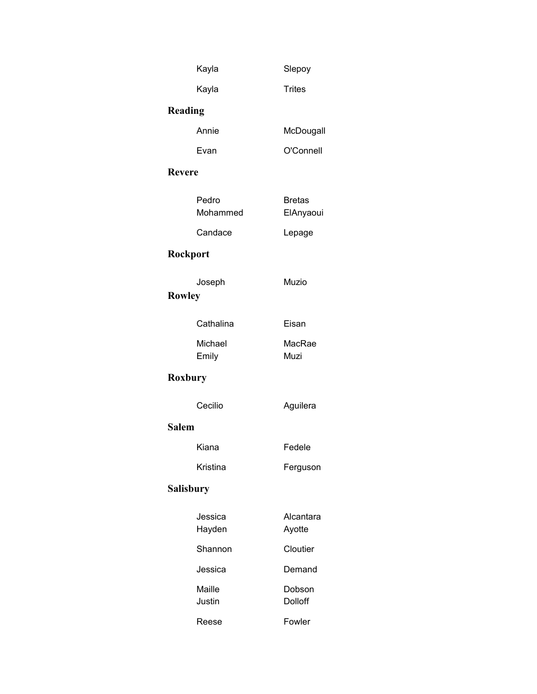|               | Kayla             | Slepoy                     |
|---------------|-------------------|----------------------------|
|               | Kayla             | <b>Trites</b>              |
| Reading       |                   |                            |
|               | Annie             | McDougall                  |
|               | Evan              | O'Connell                  |
| <b>Revere</b> |                   |                            |
|               | Pedro<br>Mohammed | <b>Bretas</b><br>ElAnyaoui |
|               | Candace           | Lepage                     |
| Rockport      |                   |                            |
| <b>Rowley</b> | Joseph            | Muzio                      |
|               | Cathalina         | Eisan                      |
|               | Michael<br>Emily  | MacRae<br>Muzi             |
| Roxbury       |                   |                            |
|               | Cecilio           | Aguilera                   |
| <b>Salem</b>  |                   |                            |
|               | Kiana             | Fedele                     |
|               | Kristina          | Ferguson                   |
| Salisbury     |                   |                            |
|               | Jessica<br>Hayden | Alcantara<br>Ayotte        |
|               | Shannon           | Cloutier                   |
|               | Jessica           | Demand                     |
|               | Maille<br>Justin  | Dobson<br>Dolloff          |
|               | Reese             | Fowler                     |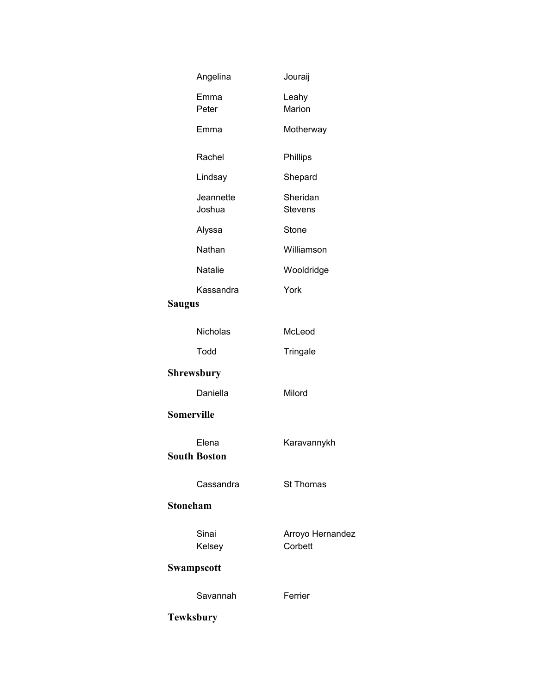| Angelina                     | Jouraij                     |
|------------------------------|-----------------------------|
| Emma<br>Peter                | Leahy<br>Marion             |
| Emma                         | Motherway                   |
| Rachel                       | Phillips                    |
| Lindsay                      | Shepard                     |
| Jeannette<br>Joshua          | Sheridan<br><b>Stevens</b>  |
| Alyssa                       | Stone                       |
| Nathan                       | Williamson                  |
| <b>Natalie</b>               | Wooldridge                  |
| Kassandra<br>Saugus          | York                        |
| <b>Nicholas</b>              | McLeod                      |
| Todd                         | Tringale                    |
| <b>Shrewsbury</b>            |                             |
| Daniella                     | Milord                      |
| <b>Somerville</b>            |                             |
| Elena<br><b>South Boston</b> | Karavannykh                 |
| Cassandra                    | <b>St Thomas</b>            |
| <b>Stoneham</b>              |                             |
| Sinai<br>Kelsey              | Arroyo Hernandez<br>Corbett |
| Swampscott                   |                             |
| Savannah                     | Ferrier                     |
| <b>Tewksbury</b>             |                             |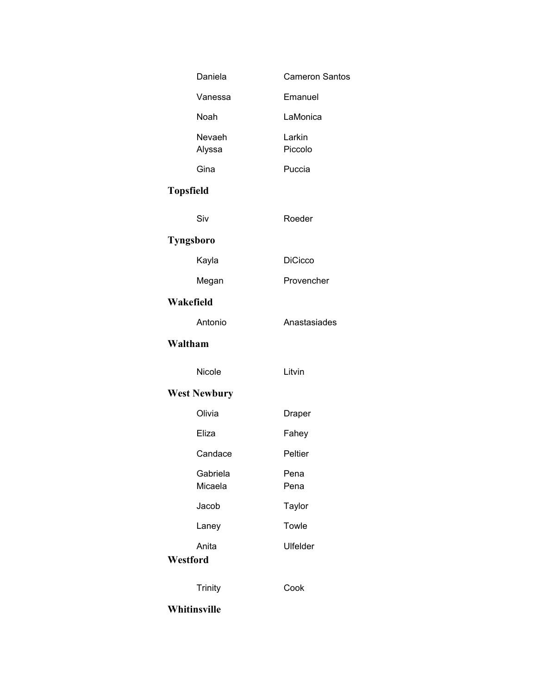| Daniela             | <b>Cameron Santos</b> |
|---------------------|-----------------------|
| Vanessa             | Emanuel               |
| Noah                | LaMonica              |
| Nevaeh<br>Alyssa    | Larkin<br>Piccolo     |
| Gina                | Puccia                |
| <b>Topsfield</b>    |                       |
| Siv                 | Roeder                |
| Tyngsboro           |                       |
| Kayla               | <b>DiCicco</b>        |
| Megan               | Provencher            |
| Wakefield           |                       |
| Antonio             | Anastasiades          |
| Waltham             |                       |
| Nicole              | Litvin                |
| <b>West Newbury</b> |                       |
| Olivia              | Draper                |
| Eliza               | Fahey                 |
| Candace             | Peltier               |
| Gabriela<br>Micaela | Pena<br>Pena          |
| Jacob               | <b>Taylor</b>         |
| Laney               | Towle                 |
| Anita<br>Westford   | Ulfelder              |
| <b>Trinity</b>      | Cook                  |
| Whitinsville        |                       |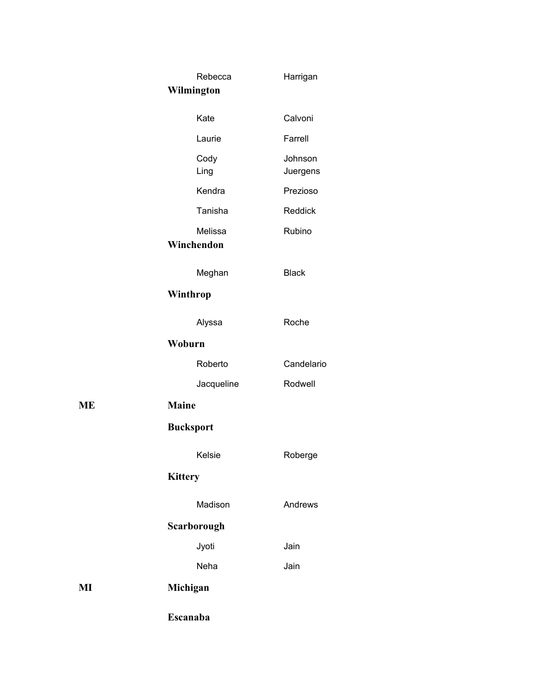|    | Rebecca               | Harrigan            |
|----|-----------------------|---------------------|
|    | Wilmington            |                     |
|    | Kate                  | Calvoni             |
|    | Laurie                | Farrell             |
|    | Cody<br>Ling          | Johnson<br>Juergens |
|    | Kendra                | Prezioso            |
|    | Tanisha               | Reddick             |
|    | Melissa<br>Winchendon | Rubino              |
|    | Meghan                | <b>Black</b>        |
|    | Winthrop              |                     |
|    | Alyssa                | Roche               |
|    | Woburn                |                     |
|    | Roberto               | Candelario          |
|    | Jacqueline            | Rodwell             |
| ME | <b>Maine</b>          |                     |
|    | <b>Bucksport</b>      |                     |
|    | Kelsie                | Roberge             |
|    | <b>Kittery</b>        |                     |
|    | Madison               | Andrews             |
|    | Scarborough           |                     |
|    | Jyoti                 | Jain                |
|    | Neha                  | Jain                |
| MI | Michigan              |                     |
|    | Escanaba              |                     |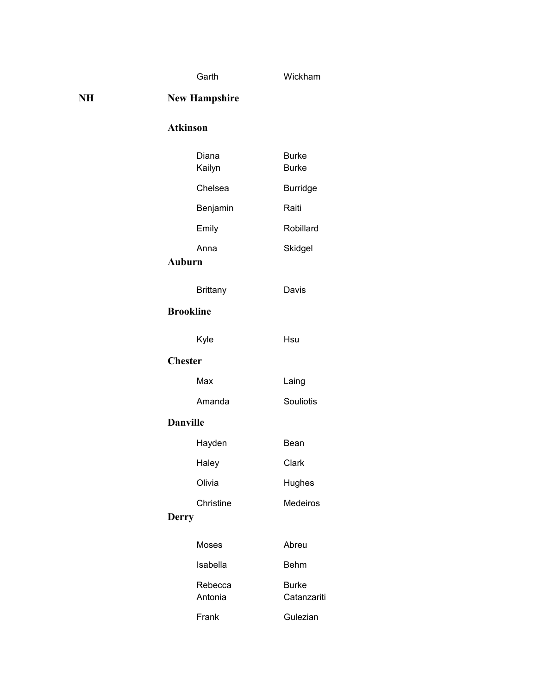Garth Wickham

**NH New Hampshire**

## **Atkinson**

|                  | Diana<br>Kailyn    | <b>Burke</b><br><b>Burke</b> |
|------------------|--------------------|------------------------------|
|                  | Chelsea            | <b>Burridge</b>              |
|                  | Benjamin           | Raiti                        |
|                  | Emily              | Robillard                    |
| <b>Auburn</b>    | Anna               | Skidgel                      |
|                  | <b>Brittany</b>    | Davis                        |
| <b>Brookline</b> |                    |                              |
|                  | Kyle               | Hsu                          |
| <b>Chester</b>   |                    |                              |
|                  | Max                | Laing                        |
|                  | Amanda             | <b>Souliotis</b>             |
| <b>Danville</b>  |                    |                              |
|                  | Hayden             | Bean                         |
|                  | Haley              | Clark                        |
|                  | Olivia             | Hughes                       |
| <b>Derry</b>     | Christine          | Medeiros                     |
|                  | Moses              | Abreu                        |
|                  | Isabella           | <b>Behm</b>                  |
|                  | Rebecca<br>Antonia | <b>Burke</b><br>Catanzariti  |
|                  | Frank              | Gulezian                     |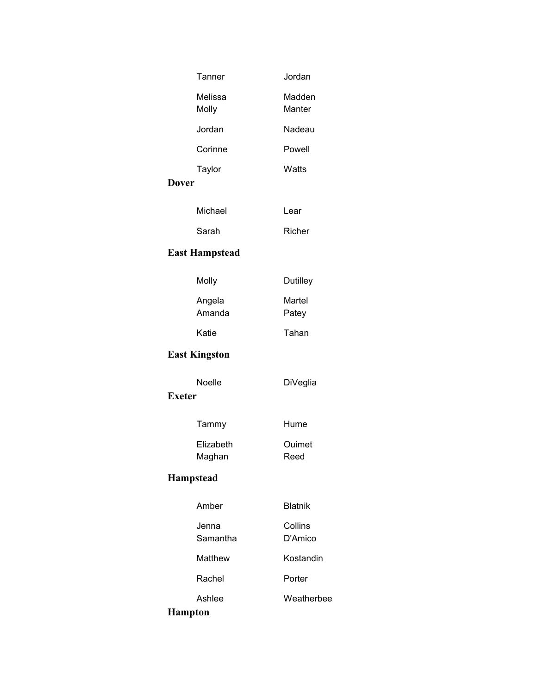| Tanner                  | Jordan             |  |
|-------------------------|--------------------|--|
| Melissa<br>Molly        | Madden<br>Manter   |  |
| Jordan                  | Nadeau             |  |
| Corinne                 | Powell             |  |
| Taylor                  | Watts              |  |
| <b>Dover</b>            |                    |  |
| Michael                 | Lear               |  |
| Sarah                   | Richer             |  |
| <b>East Hampstead</b>   |                    |  |
| Molly                   | Dutilley           |  |
| Angela<br>Amanda        | Martel<br>Patey    |  |
| Katie                   | Tahan              |  |
| <b>East Kingston</b>    |                    |  |
| Noelle<br><b>Exeter</b> | <b>DiVeglia</b>    |  |
| Tammy                   | Hume               |  |
| Elizabeth<br>Maghan     | Ouimet<br>Reed     |  |
| <b>Hampstead</b>        |                    |  |
| Amber                   | <b>Blatnik</b>     |  |
| Jenna<br>Samantha       | Collins<br>D'Amico |  |
| Matthew                 | Kostandin          |  |
| Rachel                  | Porter             |  |
| Ashlee                  | Weatherbee         |  |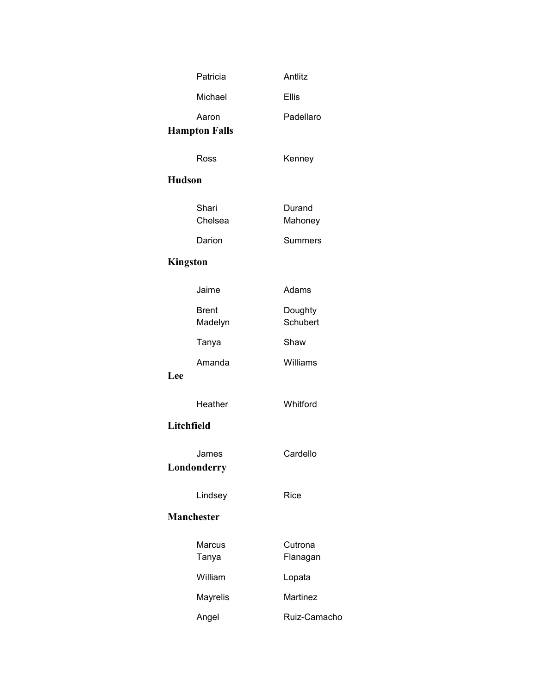|                 | Patricia                | Antlitz             |
|-----------------|-------------------------|---------------------|
|                 | Michael                 | <b>Ellis</b>        |
|                 | Aaron                   | Padellaro           |
|                 | <b>Hampton Falls</b>    |                     |
|                 | Ross                    | Kenney              |
| <b>Hudson</b>   |                         |                     |
|                 |                         |                     |
|                 | Shari<br>Chelsea        | Durand<br>Mahoney   |
|                 | Darion                  | <b>Summers</b>      |
| <b>Kingston</b> |                         |                     |
|                 |                         |                     |
|                 | Jaime                   | Adams               |
|                 | <b>Brent</b><br>Madelyn | Doughty<br>Schubert |
|                 | Tanya                   | Shaw                |
|                 | Amanda                  | Williams            |
| Lee             |                         |                     |
|                 | Heather                 | Whitford            |
| Litchfield      |                         |                     |
|                 | James                   | Cardello            |
|                 | Londonderry             |                     |
|                 | Lindsey                 | Rice                |
|                 | <b>Manchester</b>       |                     |
|                 | Marcus                  | Cutrona             |
|                 | Tanya                   | Flanagan            |
|                 | William                 | Lopata              |
|                 | Mayrelis                | <b>Martinez</b>     |
|                 | Angel                   | Ruiz-Camacho        |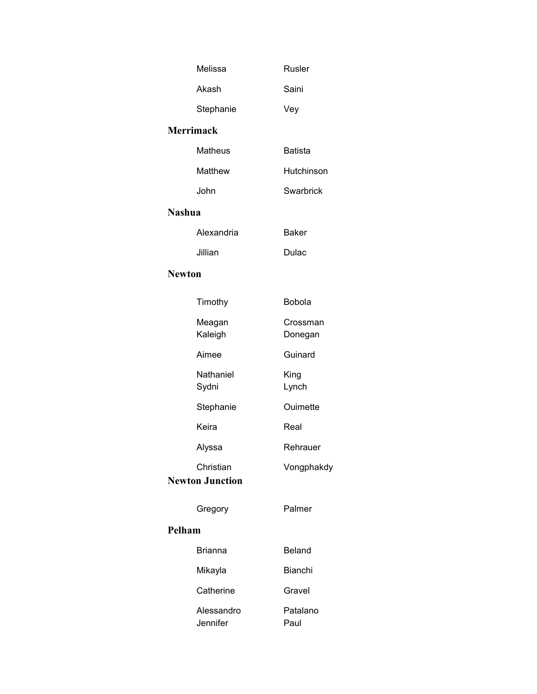|                  | Melissa                             | <b>Rusler</b>       |
|------------------|-------------------------------------|---------------------|
|                  | Akash                               | Saini               |
|                  | Stephanie                           | Vey                 |
| <b>Merrimack</b> |                                     |                     |
|                  | Matheus                             | <b>Batista</b>      |
|                  | Matthew                             | Hutchinson          |
|                  | John                                | Swarbrick           |
| <b>Nashua</b>    |                                     |                     |
|                  | Alexandria                          | <b>Baker</b>        |
|                  | Jillian                             | Dulac               |
| <b>Newton</b>    |                                     |                     |
|                  | Timothy                             | Bobola              |
|                  | Meagan<br>Kaleigh                   | Crossman<br>Donegan |
|                  | Aimee                               | Guinard             |
|                  | Nathaniel<br>Sydni                  | King<br>Lynch       |
|                  | Stephanie                           | Ouimette            |
|                  | Keira                               | Real                |
|                  | Alyssa                              | Rehrauer            |
|                  | Christian<br><b>Newton Junction</b> | Vongphakdy          |
|                  | Gregory                             | Palmer              |
| Pelham           |                                     |                     |
|                  | <b>Brianna</b>                      | <b>Beland</b>       |
|                  | Mikayla                             | <b>Bianchi</b>      |
|                  | Catherine                           | Gravel              |
|                  | Alessandro<br>Jennifer              | Patalano<br>Paul    |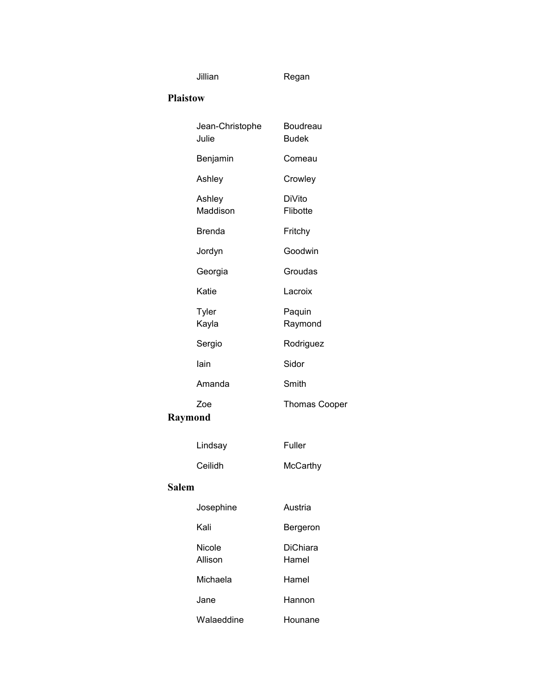Jillian Regan

#### **Plaistow**

|              | Jean-Christophe<br>Julie | Boudreau<br><b>Budek</b> |
|--------------|--------------------------|--------------------------|
|              | Benjamin                 | Comeau                   |
|              | Ashley                   | Crowley                  |
|              | Ashley<br>Maddison       | DiVito<br>Flibotte       |
|              | <b>Brenda</b>            | Fritchy                  |
|              | Jordyn                   | Goodwin                  |
|              | Georgia                  | Groudas                  |
|              | Katie                    | Lacroix                  |
|              | Tyler<br>Kayla           | Paquin<br>Raymond        |
|              | Sergio                   | Rodriguez                |
|              | lain                     | Sidor                    |
|              | Amanda                   | Smith                    |
|              | Zoe                      | <b>Thomas Cooper</b>     |
| Raymond      |                          |                          |
|              | Lindsay                  | Fuller                   |
|              | Ceilidh                  | McCarthy                 |
| <b>Salem</b> |                          |                          |
|              | Josephine                | Austria                  |
|              | Kali                     | Bergeron                 |
|              | Nicole<br>Allison        | <b>DiChiara</b><br>Hamel |
|              | Michaela                 | Hamel                    |
|              | Jane                     | Hannon                   |
|              | Walaeddine               | Hounane                  |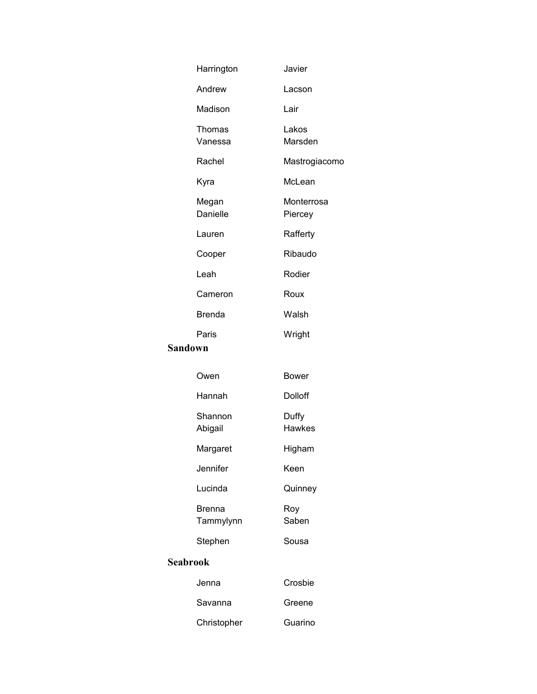|                 | Harrington                 | Javier                 |
|-----------------|----------------------------|------------------------|
|                 | Andrew                     | Lacson                 |
|                 | Madison                    | Lair                   |
|                 | Thomas<br>Vanessa          | Lakos<br>Marsden       |
|                 | Rachel                     | Mastrogiacomo          |
|                 | Kyra                       | McLean                 |
|                 | Megan<br>Danielle          | Monterrosa<br>Piercey  |
|                 | Lauren                     | Rafferty               |
|                 | Cooper                     | Ribaudo                |
|                 | Leah                       | Rodier                 |
|                 | Cameron                    | Roux                   |
|                 | <b>Brenda</b>              | Walsh                  |
|                 | Paris                      | Wright                 |
| <b>Sandown</b>  |                            |                        |
|                 | Owen                       | Bower                  |
|                 | Hannah                     | Dolloff                |
|                 | Shannon<br>Abigail         | Duffy<br><b>Hawkes</b> |
|                 | Margaret                   | Higham                 |
|                 | Jennifer                   | Keen                   |
|                 | Lucinda                    | Quinney                |
|                 | <b>Brenna</b><br>Tammylynn | Roy<br>Saben           |
|                 | Stephen                    | Sousa                  |
| <b>Seabrook</b> |                            |                        |
|                 | Jenna                      | Crosbie                |
|                 | Savanna                    | Greene                 |
|                 | Christopher                | Guarino                |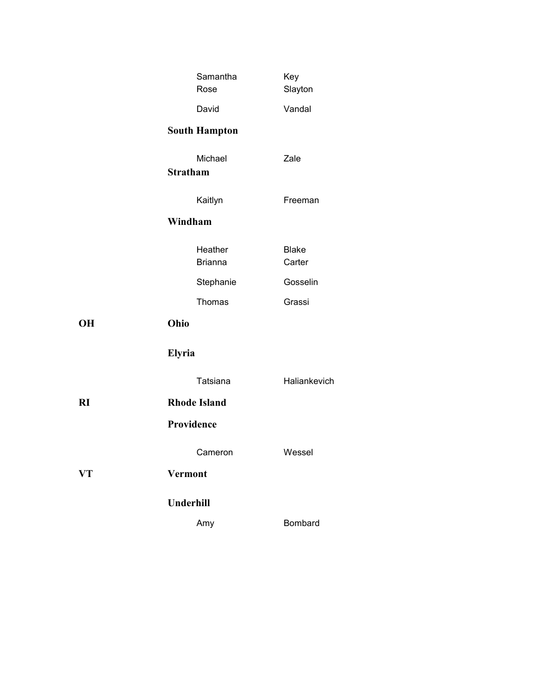|    | Samantha<br>Rose           | Key<br>Slayton         |
|----|----------------------------|------------------------|
|    | David                      | Vandal                 |
|    | <b>South Hampton</b>       |                        |
|    | Michael<br><b>Stratham</b> | Zale                   |
|    | Kaitlyn                    | Freeman                |
|    | Windham                    |                        |
|    | Heather<br><b>Brianna</b>  | <b>Blake</b><br>Carter |
|    | Stephanie                  | Gosselin               |
|    | Thomas                     | Grassi                 |
| OН | Ohio                       |                        |
|    | Elyria                     |                        |
|    | Tatsiana                   | Haliankevich           |
| RI | <b>Rhode Island</b>        |                        |
|    | Providence                 |                        |
|    | Cameron                    | Wessel                 |
| VT | <b>Vermont</b>             |                        |
|    | Underhill                  |                        |
|    | Amy                        | Bombard                |